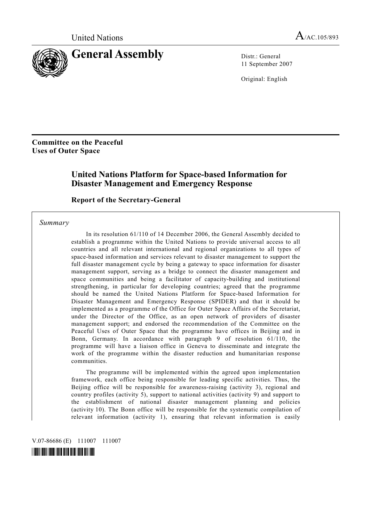

11 September 2007

Original: English

### **Committee on the Peaceful Uses of Outer Space**

## **United Nations Platform for Space-based Information for Disaster Management and Emergency Response**

#### **Report of the Secretary-General**

 *Summary* 

 In its resolution 61/110 of 14 December 2006, the General Assembly decided to establish a programme within the United Nations to provide universal access to all countries and all relevant international and regional organizations to all types of space-based information and services relevant to disaster management to support the full disaster management cycle by being a gateway to space information for disaster management support, serving as a bridge to connect the disaster management and space communities and being a facilitator of capacity-building and institutional strengthening, in particular for developing countries; agreed that the programme should be named the United Nations Platform for Space-based Information for Disaster Management and Emergency Response (SPIDER) and that it should be implemented as a programme of the Office for Outer Space Affairs of the Secretariat, under the Director of the Office, as an open network of providers of disaster management support; and endorsed the recommendation of the Committee on the Peaceful Uses of Outer Space that the programme have offices in Beijing and in Bonn, Germany. In accordance with paragraph 9 of resolution 61/110, the programme will have a liaison office in Geneva to disseminate and integrate the work of the programme within the disaster reduction and humanitarian response communities.

 The programme will be implemented within the agreed upon implementation framework, each office being responsible for leading specific activities. Thus, the Beijing office will be responsible for awareness-raising (activity 3), regional and country profiles (activity 5), support to national activities (activity 9) and support to the establishment of national disaster management planning and policies (activity 10). The Bonn office will be responsible for the systematic compilation of relevant information (activity 1), ensuring that relevant information is easily

V.07-86686 (E) 111007 111007

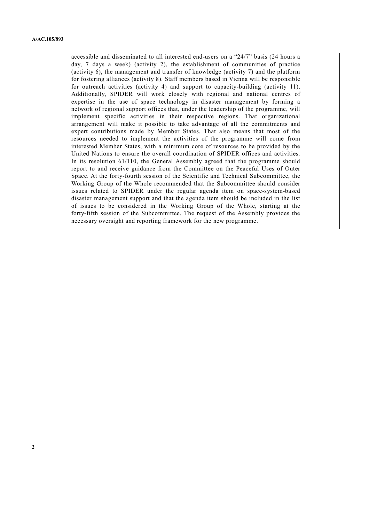accessible and disseminated to all interested end-users on a "24/7" basis (24 hours a day, 7 days a week) (activity 2), the establishment of communities of practice (activity 6), the management and transfer of knowledge (activity 7) and the platform for fostering alliances (activity 8). Staff members based in Vienna will be responsible for outreach activities (activity 4) and support to capacity-building (activity 11). Additionally, SPIDER will work closely with regional and national centres of expertise in the use of space technology in disaster management by forming a network of regional support offices that, under the leadership of the programme, will implement specific activities in their respective regions. That organizational arrangement will make it possible to take advantage of all the commitments and expert contributions made by Member States. That also means that most of the resources needed to implement the activities of the programme will come from interested Member States, with a minimum core of resources to be provided by the United Nations to ensure the overall coordination of SPIDER offices and activities. In its resolution 61/110, the General Assembly agreed that the programme should report to and receive guidance from the Committee on the Peaceful Uses of Outer Space. At the forty-fourth session of the Scientific and Technical Subcommittee, the Working Group of the Whole recommended that the Subcommittee should consider issues related to SPIDER under the regular agenda item on space-system-based disaster management support and that the agenda item should be included in the list of issues to be considered in the Working Group of the Whole, starting at the forty-fifth session of the Subcommittee. The request of the Assembly provides the necessary oversight and reporting framework for the new programme.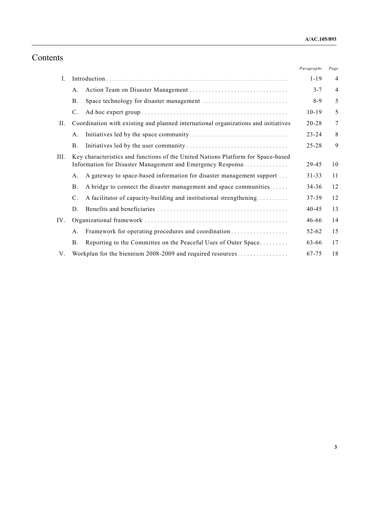# Contents

|      |                                                                                                                                                |                                                                      | Paragraphs | Page           |
|------|------------------------------------------------------------------------------------------------------------------------------------------------|----------------------------------------------------------------------|------------|----------------|
| L    |                                                                                                                                                |                                                                      | $1 - 19$   | 4              |
|      | А.                                                                                                                                             |                                                                      | $3 - 7$    | $\overline{4}$ |
|      | Β.                                                                                                                                             |                                                                      | $8-9$      | 5              |
|      | $\mathcal{C}$ .                                                                                                                                |                                                                      | $10-19$    | 5              |
| II.  | Coordination with existing and planned international organizations and initiatives                                                             |                                                                      | 20-28      | $\overline{7}$ |
|      | A.                                                                                                                                             |                                                                      | $23 - 24$  | 8              |
|      | <b>B</b> .                                                                                                                                     |                                                                      | $25 - 28$  | 9              |
| III. | Key characteristics and functions of the United Nations Platform for Space-based<br>Information for Disaster Management and Emergency Response |                                                                      | 29-45      | 10             |
|      | А.                                                                                                                                             | A gateway to space-based information for disaster management support | $31 - 33$  | 11             |
|      | Β.                                                                                                                                             | A bridge to connect the disaster management and space communities    | $34 - 36$  | 12             |
|      | $\mathcal{C}$ .                                                                                                                                | A facilitator of capacity-building and institutional strengthening   | 37-39      | 12             |
|      | D.                                                                                                                                             |                                                                      | $40 - 45$  | 13             |
| IV.  |                                                                                                                                                |                                                                      | 46-66      | 14             |
|      | A.                                                                                                                                             |                                                                      | 52-62      | 15             |
|      | <b>B</b> .                                                                                                                                     | Reporting to the Committee on the Peaceful Uses of Outer Space       | 63-66      | 17             |
| V.   |                                                                                                                                                | Workplan for the biennium 2008-2009 and required resources           | 67-75      | 18             |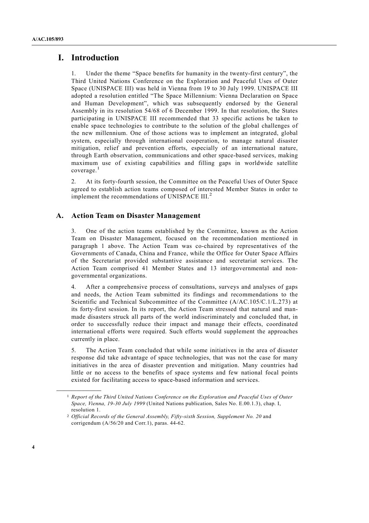### **I. Introduction**

1. Under the theme "Space benefits for humanity in the twenty-first century", the Third United Nations Conference on the Exploration and Peaceful Uses of Outer Space (UNISPACE III) was held in Vienna from 19 to 30 July 1999. UNISPACE III adopted a resolution entitled "The Space Millennium: Vienna Declaration on Space and Human Development", which was subsequently endorsed by the General Assembly in its resolution 54/68 of 6 December 1999. In that resolution, the States participating in UNISPACE III recommended that 33 specific actions be taken to enable space technologies to contribute to the solution of the global challenges of the new millennium. One of those actions was to implement an integrated, global system, especially through international cooperation, to manage natural disaster mitigation, relief and prevention efforts, especially of an international nature, through Earth observation, communications and other space-based services, making maximum use of existing capabilities and filling gaps in worldwide satellite coverage.<sup>1</sup>

2. At its forty-fourth session, the Committee on the Peaceful Uses of Outer Space agreed to establish action teams composed of interested Member States in order to implement the recommendations of UNISPACE  $III.^2$ 

#### **A. Action Team on Disaster Management**

3. One of the action teams established by the Committee, known as the Action Team on Disaster Management, focused on the recommendation mentioned in paragraph 1 above. The Action Team was co-chaired by representatives of the Governments of Canada, China and France, while the Office for Outer Space Affairs of the Secretariat provided substantive assistance and secretariat services. The Action Team comprised 41 Member States and 13 intergovernmental and nongovernmental organizations.

4. After a comprehensive process of consultations, surveys and analyses of gaps and needs, the Action Team submitted its findings and recommendations to the Scientific and Technical Subcommittee of the Committee (A/AC.105/C.1/L.273) at its forty-first session. In its report, the Action Team stressed that natural and manmade disasters struck all parts of the world indiscriminately and concluded that, in order to successfully reduce their impact and manage their effects, coordinated international efforts were required. Such efforts would supplement the approaches currently in place.

5. The Action Team concluded that while some initiatives in the area of disaster response did take advantage of space technologies, that was not the case for many initiatives in the area of disaster prevention and mitigation. Many countries had little or no access to the benefits of space systems and few national focal points existed for facilitating access to space-based information and services.

<sup>1</sup> *Report of the Third United Nations Conference on the Exploration and Peaceful Uses of Outer Space, Vienna, 19-30 July 1999* (United Nations publication, Sales No. E.00.1.3), chap. I, resolution 1.

<sup>2</sup> *Official Records of the General Assembly, Fifty-sixth Session, Supplement No. 20* and corrigendum (A/56/20 and Corr.1), paras. 44-62.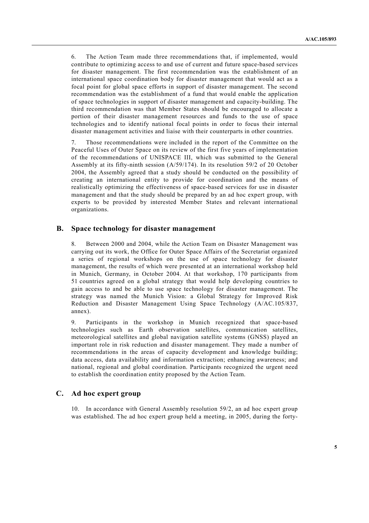6. The Action Team made three recommendations that, if implemented, would contribute to optimizing access to and use of current and future space-based services for disaster management. The first recommendation was the establishment of an international space coordination body for disaster management that would act as a focal point for global space efforts in support of disaster management. The second recommendation was the establishment of a fund that would enable the application of space technologies in support of disaster management and capacity-building. The third recommendation was that Member States should be encouraged to allocate a portion of their disaster management resources and funds to the use of space technologies and to identify national focal points in order to focus their internal disaster management activities and liaise with their counterparts in other countries.

7. Those recommendations were included in the report of the Committee on the Peaceful Uses of Outer Space on its review of the first five years of implementation of the recommendations of UNISPACE III, which was submitted to the General Assembly at its fifty-ninth session (A/59/174). In its resolution 59/2 of 20 October 2004, the Assembly agreed that a study should be conducted on the possibility of creating an international entity to provide for coordination and the means of realistically optimizing the effectiveness of space-based services for use in disaster management and that the study should be prepared by an ad hoc expert group, with experts to be provided by interested Member States and relevant international organizations.

#### **B. Space technology for disaster management**

8. Between 2000 and 2004, while the Action Team on Disaster Management was carrying out its work, the Office for Outer Space Affairs of the Secretariat organized a series of regional workshops on the use of space technology for disaster management, the results of which were presented at an international workshop held in Munich, Germany, in October 2004. At that workshop, 170 participants from 51 countries agreed on a global strategy that would help developing countries to gain access to and be able to use space technology for disaster management. The strategy was named the Munich Vision: a Global Strategy for Improved Risk Reduction and Disaster Management Using Space Technology (A/AC.105/837, annex).

9. Participants in the workshop in Munich recognized that space-based technologies such as Earth observation satellites, communication satellites, meteorological satellites and global navigation satellite systems (GNSS) played an important role in risk reduction and disaster management. They made a number of recommendations in the areas of capacity development and knowledge building; data access, data availability and information extraction; enhancing awareness; and national, regional and global coordination. Participants recognized the urgent need to establish the coordination entity proposed by the Action Team.

#### **C. Ad hoc expert group**

10. In accordance with General Assembly resolution 59/2, an ad hoc expert group was established. The ad hoc expert group held a meeting, in 2005, during the forty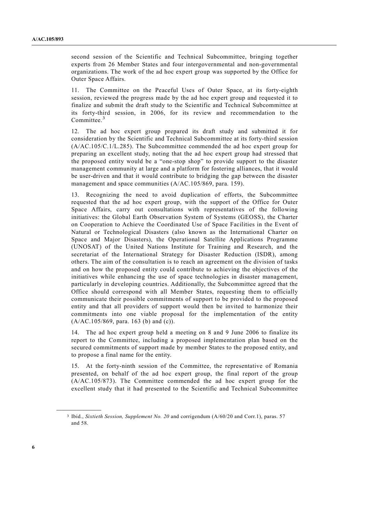second session of the Scientific and Technical Subcommittee, bringing together experts from 26 Member States and four intergovernmental and non-governmental organizations. The work of the ad hoc expert group was supported by the Office for Outer Space Affairs.

11. The Committee on the Peaceful Uses of Outer Space, at its forty-eighth session, reviewed the progress made by the ad hoc expert group and requested it to finalize and submit the draft study to the Scientific and Technical Subcommittee at its forty-third session, in 2006, for its review and recommendation to the Committee.<sup>3</sup>

12. The ad hoc expert group prepared its draft study and submitted it for consideration by the Scientific and Technical Subcommittee at its forty-third session (A/AC.105/C.1/L.285). The Subcommittee commended the ad hoc expert group for preparing an excellent study, noting that the ad hoc expert group had stressed that the proposed entity would be a "one-stop shop" to provide support to the disaster management community at large and a platform for fostering alliances, that it would be user-driven and that it would contribute to bridging the gap between the disaster management and space communities (A/AC.105/869, para. 159).

13. Recognizing the need to avoid duplication of efforts, the Subcommittee requested that the ad hoc expert group, with the support of the Office for Outer Space Affairs, carry out consultations with representatives of the following initiatives: the Global Earth Observation System of Systems (GEOSS), the Charter on Cooperation to Achieve the Coordinated Use of Space Facilities in the Event of Natural or Technological Disasters (also known as the International Charter on Space and Major Disasters), the Operational Satellite Applications Programme (UNOSAT) of the United Nations Institute for Training and Research, and the secretariat of the International Strategy for Disaster Reduction (ISDR), among others. The aim of the consultation is to reach an agreement on the division of tasks and on how the proposed entity could contribute to achieving the objectives of the initiatives while enhancing the use of space technologies in disaster management, particularly in developing countries. Additionally, the Subcommittee agreed that the Office should correspond with all Member States, requesting them to officially communicate their possible commitments of support to be provided to the proposed entity and that all providers of support would then be invited to harmonize their commitments into one viable proposal for the implementation of the entity (A/AC.105/869, para. 163 (b) and (c)).

14. The ad hoc expert group held a meeting on 8 and 9 June 2006 to finalize its report to the Committee, including a proposed implementation plan based on the secured commitments of support made by member States to the proposed entity, and to propose a final name for the entity.

15. At the forty-ninth session of the Committee, the representative of Romania presented, on behalf of the ad hoc expert group, the final report of the group (A/AC.105/873). The Committee commended the ad hoc expert group for the excellent study that it had presented to the Scientific and Technical Subcommittee

<sup>3</sup> Ibid., *Sixtieth Session, Supplement No. 20* and corrigendum (A/60/20 and Corr.1), paras. 57 and 58.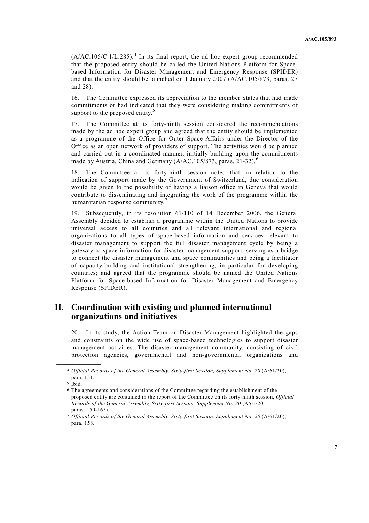$(A/AC.105/C.1/L.285)$ .<sup>4</sup> In its final report, the ad hoc expert group recommended that the proposed entity should be called the United Nations Platform for Spacebased Information for Disaster Management and Emergency Response (SPIDER) and that the entity should be launched on 1 January 2007 (A/AC.105/873, paras. 27 and 28).

16. The Committee expressed its appreciation to the member States that had made commitments or had indicated that they were considering making commitments of support to the proposed entity.<sup>5</sup>

17. The Committee at its forty-ninth session considered the recommendations made by the ad hoc expert group and agreed that the entity should be implemented as a programme of the Office for Outer Space Affairs under the Director of the Office as an open network of providers of support. The activities would be planned and carried out in a coordinated manner, initially building upon the commitments made by Austria, China and Germany (A/AC.105/873, paras. 21-32).<sup>6</sup>

18. The Committee at its forty-ninth session noted that, in relation to the indication of support made by the Government of Switzerland, due consideration would be given to the possibility of having a liaison office in Geneva that would contribute to disseminating and integrating the work of the programme within the humanitarian response community.<sup>7</sup>

19. Subsequently, in its resolution 61/110 of 14 December 2006, the General Assembly decided to establish a programme within the United Nations to provide universal access to all countries and all relevant international and regional organizations to all types of space-based information and services relevant to disaster management to support the full disaster management cycle by being a gateway to space information for disaster management support, serving as a bridge to connect the disaster management and space communities and being a facilitator of capacity-building and institutional strengthening, in particular for developing countries; and agreed that the programme should be named the United Nations Platform for Space-based Information for Disaster Management and Emergency Response (SPIDER).

### **II. Coordination with existing and planned international organizations and initiatives**

20. In its study, the Action Team on Disaster Management highlighted the gaps and constraints on the wide use of space-based technologies to support disaster management activities. The disaster management community, consisting of civil protection agencies, governmental and non-governmental organizations and

<sup>4</sup> *Official Records of the General Assembly, Sixty-first Session, Supplement No. 20* (A/61/20), para. 151.

<sup>5</sup> Ibid.

<sup>6</sup> The agreements and considerations of the Committee regarding the establishment of the proposed entity are contained in the report of the Committee on its forty-ninth session, *Official Records of the General Assembly, Sixty-first Session, Supplement No. 20* (A/61/20, paras. 150-165).

<sup>7</sup> *Official Records of the General Assembly, Sixty-first Session, Supplement No. 20* (A/61/20), para. 158.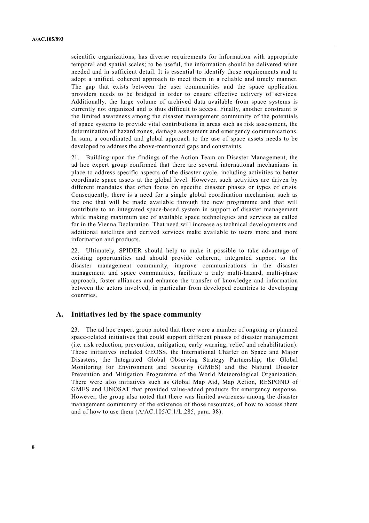scientific organizations, has diverse requirements for information with appropriate temporal and spatial scales; to be useful, the information should be delivered when needed and in sufficient detail. It is essential to identify those requirements and to adopt a unified, coherent approach to meet them in a reliable and timely manner. The gap that exists between the user communities and the space application providers needs to be bridged in order to ensure effective delivery of services. Additionally, the large volume of archived data available from space systems is currently not organized and is thus difficult to access. Finally, another constraint is the limited awareness among the disaster management community of the potentials of space systems to provide vital contributions in areas such as risk assessment, the determination of hazard zones, damage assessment and emergency communications. In sum, a coordinated and global approach to the use of space assets needs to be developed to address the above-mentioned gaps and constraints.

21. Building upon the findings of the Action Team on Disaster Management, the ad hoc expert group confirmed that there are several international mechanisms in place to address specific aspects of the disaster cycle, including activities to better coordinate space assets at the global level. However, such activities are driven by different mandates that often focus on specific disaster phases or types of crisis. Consequently, there is a need for a single global coordination mechanism such as the one that will be made available through the new programme and that will contribute to an integrated space-based system in support of disaster management while making maximum use of available space technologies and services as called for in the Vienna Declaration. That need will increase as technical developments and additional satellites and derived services make available to users more and more information and products.

22. Ultimately, SPIDER should help to make it possible to take advantage of existing opportunities and should provide coherent, integrated support to the disaster management community, improve communications in the disaster management and space communities, facilitate a truly multi-hazard, multi-phase approach, foster alliances and enhance the transfer of knowledge and information between the actors involved, in particular from developed countries to developing countries.

#### **A. Initiatives led by the space community**

23. The ad hoc expert group noted that there were a number of ongoing or planned space-related initiatives that could support different phases of disaster management (i.e. risk reduction, prevention, mitigation, early warning, relief and rehabilitation). Those initiatives included GEOSS, the International Charter on Space and Major Disasters, the Integrated Global Observing Strategy Partnership, the Global Monitoring for Environment and Security (GMES) and the Natural Disaster Prevention and Mitigation Programme of the World Meteorological Organization. There were also initiatives such as Global Map Aid, Map Action, RESPOND of GMES and UNOSAT that provided value-added products for emergency response. However, the group also noted that there was limited awareness among the disaster management community of the existence of those resources, of how to access them and of how to use them  $(A/AC.105/C.1/L.285$ , para. 38).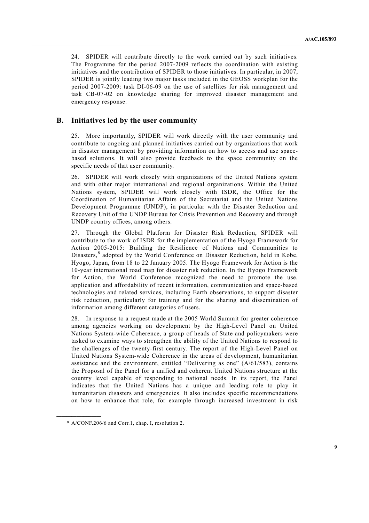24. SPIDER will contribute directly to the work carried out by such initiatives. The Programme for the period 2007-2009 reflects the coordination with existing initiatives and the contribution of SPIDER to those initiatives. In particular, in 2007, SPIDER is jointly leading two major tasks included in the GEOSS workplan for the period 2007-2009: task DI-06-09 on the use of satellites for risk management and task CB-07-02 on knowledge sharing for improved disaster management and emergency response.

#### **B. Initiatives led by the user community**

25. More importantly, SPIDER will work directly with the user community and contribute to ongoing and planned initiatives carried out by organizations that work in disaster management by providing information on how to access and use spacebased solutions. It will also provide feedback to the space community on the specific needs of that user community.

26. SPIDER will work closely with organizations of the United Nations system and with other major international and regional organizations. Within the United Nations system, SPIDER will work closely with ISDR, the Office for the Coordination of Humanitarian Affairs of the Secretariat and the United Nations Development Programme (UNDP), in particular with the Disaster Reduction and Recovery Unit of the UNDP Bureau for Crisis Prevention and Recovery and through UNDP country offices, among others.

27. Through the Global Platform for Disaster Risk Reduction, SPIDER will contribute to the work of ISDR for the implementation of the Hyogo Framework for Action 2005-2015: Building the Resilience of Nations and Communities to Disasters,<sup>8</sup> adopted by the World Conference on Disaster Reduction, held in Kobe, Hyogo, Japan, from 18 to 22 January 2005. The Hyogo Framework for Action is the 10-year international road map for disaster risk reduction. In the Hyogo Framework for Action, the World Conference recognized the need to promote the use, application and affordability of recent information, communication and space-based technologies and related services, including Earth observations, to support disaster risk reduction, particularly for training and for the sharing and dissemination of information among different categories of users.

28. In response to a request made at the 2005 World Summit for greater coherence among agencies working on development by the High-Level Panel on United Nations System-wide Coherence, a group of heads of State and policymakers were tasked to examine ways to strengthen the ability of the United Nations to respond to the challenges of the twenty-first century. The report of the High-Level Panel on United Nations System-wide Coherence in the areas of development, humanitarian assistance and the environment, entitled "Delivering as one"  $(A/61/583)$ , contains the Proposal of the Panel for a unified and coherent United Nations structure at the country level capable of responding to national needs. In its report, the Panel indicates that the United Nations has a unique and leading role to play in humanitarian disasters and emergencies. It also includes specific recommendations on how to enhance that role, for example through increased investment in risk

<sup>8</sup> A/CONF.206/6 and Corr.1, chap. I, resolution 2.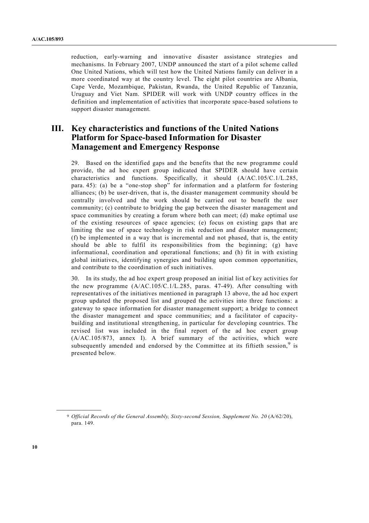reduction, early-warning and innovative disaster assistance strategies and mechanisms. In February 2007, UNDP announced the start of a pilot scheme called One United Nations, which will test how the United Nations family can deliver in a more coordinated way at the country level. The eight pilot countries are Albania, Cape Verde, Mozambique, Pakistan, Rwanda, the United Republic of Tanzania, Uruguay and Viet Nam. SPIDER will work with UNDP country offices in the definition and implementation of activities that incorporate space-based solutions to support disaster management.

# **III. Key characteristics and functions of the United Nations Platform for Space-based Information for Disaster Management and Emergency Response**

29. Based on the identified gaps and the benefits that the new programme could provide, the ad hoc expert group indicated that SPIDER should have certain characteristics and functions. Specifically, it should (A/AC.105/C.1/L.285, para. 45): (a) be a "one-stop shop" for information and a platform for fostering alliances; (b) be user-driven, that is, the disaster management community should be centrally involved and the work should be carried out to benefit the user community; (c) contribute to bridging the gap between the disaster management and space communities by creating a forum where both can meet; (d) make optimal use of the existing resources of space agencies; (e) focus on existing gaps that are limiting the use of space technology in risk reduction and disaster management; (f) be implemented in a way that is incremental and not phased, that is, the entity should be able to fulfil its responsibilities from the beginning; (g) have informational, coordination and operational functions; and (h) fit in with existing global initiatives, identifying synergies and building upon common opportunities, and contribute to the coordination of such initiatives.

30. In its study, the ad hoc expert group proposed an initial list of key activities for the new programme (A/AC.105/C.1/L.285, paras. 47-49). After consulting with representatives of the initiatives mentioned in paragraph 13 above, the ad hoc expert group updated the proposed list and grouped the activities into three functions: a gateway to space information for disaster management support; a bridge to connect the disaster management and space communities; and a facilitator of capacitybuilding and institutional strengthening, in particular for developing countries. The revised list was included in the final report of the ad hoc expert group (A/AC.105/873, annex I). A brief summary of the activities, which were subsequently amended and endorsed by the Committee at its fiftieth session,<sup>9</sup> is presented below.

<sup>9</sup> *Official Records of the General Assembly, Sixty-second Session, Supplement No. 20* (A/62/20), para. 149.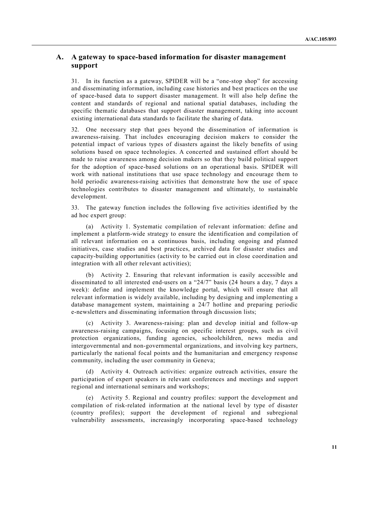#### **A. A gateway to space-based information for disaster management support**

31. In its function as a gateway, SPIDER will be a "one-stop shop" for accessing and disseminating information, including case histories and best practices on the use of space-based data to support disaster management. It will also help define the content and standards of regional and national spatial databases, including the specific thematic databases that support disaster management, taking into account existing international data standards to facilitate the sharing of data.

32. One necessary step that goes beyond the dissemination of information is awareness-raising. That includes encouraging decision makers to consider the potential impact of various types of disasters against the likely benefits of using solutions based on space technologies. A concerted and sustained effort should be made to raise awareness among decision makers so that they build political support for the adoption of space-based solutions on an operational basis. SPIDER will work with national institutions that use space technology and encourage them to hold periodic awareness-raising activities that demonstrate how the use of space technologies contributes to disaster management and ultimately, to sustainable development.

33. The gateway function includes the following five activities identified by the ad hoc expert group:

 (a) Activity 1. Systematic compilation of relevant information: define and implement a platform-wide strategy to ensure the identification and compilation of all relevant information on a continuous basis, including ongoing and planned initiatives, case studies and best practices, archived data for disaster studies and capacity-building opportunities (activity to be carried out in close coordination and integration with all other relevant activities);

 (b) Activity 2. Ensuring that relevant information is easily accessible and disseminated to all interested end-users on a "24/7" basis (24 hours a day, 7 days a week): define and implement the knowledge portal, which will ensure that all relevant information is widely available, including by designing and implementing a database management system, maintaining a 24/7 hotline and preparing periodic e-newsletters and disseminating information through discussion lists;

 (c) Activity 3. Awareness-raising: plan and develop initial and follow-up awareness-raising campaigns, focusing on specific interest groups, such as civil protection organizations, funding agencies, schoolchildren, news media and intergovernmental and non-governmental organizations, and involving key partners, particularly the national focal points and the humanitarian and emergency response community, including the user community in Geneva;

 (d) Activity 4. Outreach activities: organize outreach activities, ensure the participation of expert speakers in relevant conferences and meetings and support regional and international seminars and workshops;

 (e) Activity 5. Regional and country profiles: support the development and compilation of risk-related information at the national level by type of disaster (country profiles); support the development of regional and subregional vulnerability assessments, increasingly incorporating space-based technology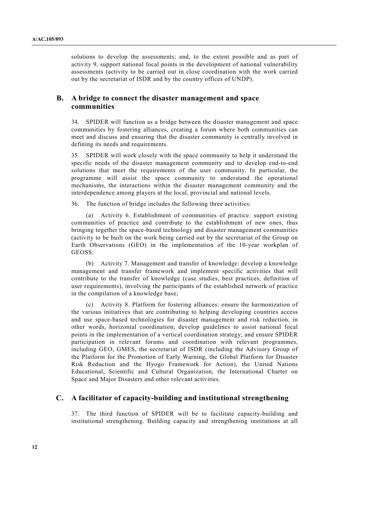solutions to develop the assessments; and, to the extent possible and as part of activity 9, support national focal points in the development of national vulnerability assessments (activity to be carried out in close coordination with the work carried out by the secretariat of ISDR and by the country offices of UNDP).

#### **B. A bridge to connect the disaster management and space communities**

34. SPIDER will function as a bridge between the disaster management and space communities by fostering alliances, creating a forum where both communities can meet and discuss and ensuring that the disaster community is centrally involved in defining its needs and requirements.

35. SPIDER will work closely with the space community to help it understand the specific needs of the disaster management community and to develop end-to-end solutions that meet the requirements of the user community. In particular, the programme will assist the space community to understand the operational mechanisms, the interactions within the disaster management community and the interdependence among players at the local, provincial and national levels.

36. The function of bridge includes the following three activities:

 (a) Activity 6. Establishment of communities of practice: support existing communities of practice and contribute to the establishment of new ones, thus bringing together the space-based technology and disaster management communities (activity to be built on the work being carried out by the secretariat of the Group on Earth Observations (GEO) in the implementation of the 10-year workplan of GEOSS;

 (b) Activity 7. Management and transfer of knowledge: develop a knowledge management and transfer framework and implement specific activities that will contribute to the transfer of knowledge (case studies, best practices, definition of user requirements), involving the participants of the established network of practice in the compilation of a knowledge base;

 (c) Activity 8. Platform for fostering alliances: ensure the harmonization of the various initiatives that are contributing to helping developing countries access and use space-based technologies for disaster management and risk reduction, in other words, horizontal coordination; develop guidelines to assist national focal points in the implementation of a vertical coordination strategy; and ensure SPIDER participation in relevant forums and coordination with relevant programmes, including GEO, GMES, the secretariat of ISDR (including the Advisory Group of the Platform for the Promotion of Early Warning, the Global Platform for Disaster Risk Reduction and the Hyogo Framework for Action), the United Nations Educational, Scientific and Cultural Organization, the International Charter on Space and Major Disasters and other relevant activities.

#### **C. A facilitator of capacity-building and institutional strengthening**

37. The third function of SPIDER will be to facilitate capacity-building and institutional strengthening. Building capacity and strengthening institutions at all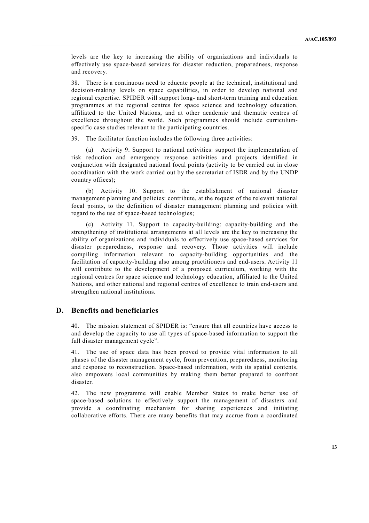levels are the key to increasing the ability of organizations and individuals to effectively use space-based services for disaster reduction, preparedness, response and recovery.

38. There is a continuous need to educate people at the technical, institutional and decision-making levels on space capabilities, in order to develop national and regional expertise. SPIDER will support long- and short-term training and education programmes at the regional centres for space science and technology education, affiliated to the United Nations, and at other academic and thematic centres of excellence throughout the world. Such programmes should include curriculumspecific case studies relevant to the participating countries.

39. The facilitator function includes the following three activities:

Activity 9. Support to national activities: support the implementation of risk reduction and emergency response activities and projects identified in conjunction with designated national focal points (activity to be carried out in close coordination with the work carried out by the secretariat of ISDR and by the UNDP country offices);

 (b) Activity 10. Support to the establishment of national disaster management planning and policies: contribute, at the request of the relevant national focal points, to the definition of disaster management planning and policies with regard to the use of space-based technologies;

 (c) Activity 11. Support to capacity-building: capacity-building and the strengthening of institutional arrangements at all levels are the key to increasing the ability of organizations and individuals to effectively use space-based services for disaster preparedness, response and recovery. Those activities will include compiling information relevant to capacity-building opportunities and the facilitation of capacity-building also among practitioners and end-users. Activity 11 will contribute to the development of a proposed curriculum, working with the regional centres for space science and technology education, affiliated to the United Nations, and other national and regional centres of excellence to train end-users and strengthen national institutions.

#### **D. Benefits and beneficiaries**

40. The mission statement of SPIDER is: "ensure that all countries have access to and develop the capacity to use all types of space-based information to support the full disaster management cycle".

41. The use of space data has been proved to provide vital information to all phases of the disaster management cycle, from prevention, preparedness, monitoring and response to reconstruction. Space-based information, with its spatial contents, also empowers local communities by making them better prepared to confront disaster.

42. The new programme will enable Member States to make better use of space-based solutions to effectively support the management of disasters and provide a coordinating mechanism for sharing experiences and initiating collaborative efforts. There are many benefits that may accrue from a coordinated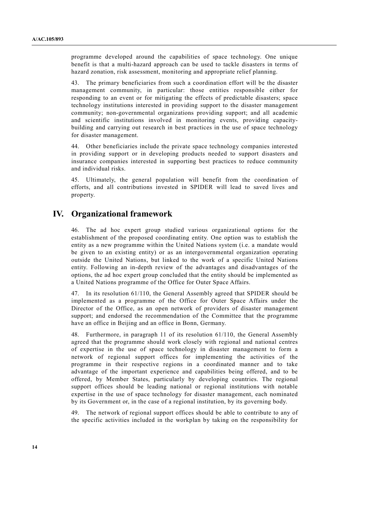programme developed around the capabilities of space technology. One unique benefit is that a multi-hazard approach can be used to tackle disasters in terms of hazard zonation, risk assessment, monitoring and appropriate relief planning.

43. The primary beneficiaries from such a coordination effort will be the disaster management community, in particular: those entities responsible either for responding to an event or for mitigating the effects of predictable disasters; space technology institutions interested in providing support to the disaster management community; non-governmental organizations providing support; and all academic and scientific institutions involved in monitoring events, providing capacitybuilding and carrying out research in best practices in the use of space technology for disaster management.

44. Other beneficiaries include the private space technology companies interested in providing support or in developing products needed to support disasters and insurance companies interested in supporting best practices to reduce community and individual risks.

45. Ultimately, the general population will benefit from the coordination of efforts, and all contributions invested in SPIDER will lead to saved lives and property.

## **IV. Organizational framework**

46. The ad hoc expert group studied various organizational options for the establishment of the proposed coordinating entity. One option was to establish the entity as a new programme within the United Nations system (i.e. a mandate would be given to an existing entity) or as an intergovernmental organization operating outside the United Nations, but linked to the work of a specific United Nations entity. Following an in-depth review of the advantages and disadvantages of the options, the ad hoc expert group concluded that the entity should be implemented as a United Nations programme of the Office for Outer Space Affairs.

47. In its resolution 61/110, the General Assembly agreed that SPIDER should be implemented as a programme of the Office for Outer Space Affairs under the Director of the Office, as an open network of providers of disaster management support; and endorsed the recommendation of the Committee that the programme have an office in Beijing and an office in Bonn, Germany.

48. Furthermore, in paragraph 11 of its resolution 61/110, the General Assembly agreed that the programme should work closely with regional and national centres of expertise in the use of space technology in disaster management to form a network of regional support offices for implementing the activities of the programme in their respective regions in a coordinated manner and to take advantage of the important experience and capabilities being offered, and to be offered, by Member States, particularly by developing countries. The regional support offices should be leading national or regional institutions with notable expertise in the use of space technology for disaster management, each nominated by its Government or, in the case of a regional institution, by its governing body.

49. The network of regional support offices should be able to contribute to any of the specific activities included in the workplan by taking on the responsibility for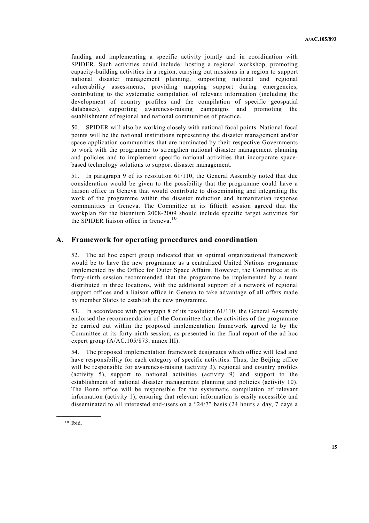funding and implementing a specific activity jointly and in coordination with SPIDER. Such activities could include: hosting a regional workshop, promoting capacity-building activities in a region, carrying out missions in a region to support national disaster management planning, supporting national and regional vulnerability assessments, providing mapping support during emergencies, contributing to the systematic compilation of relevant information (including the development of country profiles and the compilation of specific geospatial databases), supporting awareness-raising campaigns and promoting the establishment of regional and national communities of practice.

50. SPIDER will also be working closely with national focal points. National focal points will be the national institutions representing the disaster management and/or space application communities that are nominated by their respective Governments to work with the programme to strengthen national disaster management planning and policies and to implement specific national activities that incorporate spacebased technology solutions to support disaster management.

51. In paragraph 9 of its resolution 61/110, the General Assembly noted that due consideration would be given to the possibility that the programme could have a liaison office in Geneva that would contribute to disseminating and integrating the work of the programme within the disaster reduction and humanitarian response communities in Geneva. The Committee at its fiftieth session agreed that the workplan for the biennium 2008-2009 should include specific target activities for the SPIDER liaison office in Geneva.<sup>10</sup>

#### **A. Framework for operating procedures and coordination**

52. The ad hoc expert group indicated that an optimal organizational framework would be to have the new programme as a centralized United Nations programme implemented by the Office for Outer Space Affairs. However, the Committee at its forty-ninth session recommended that the programme be implemented by a team distributed in three locations, with the additional support of a network of regional support offices and a liaison office in Geneva to take advantage of all offers made by member States to establish the new programme.

53. In accordance with paragraph 8 of its resolution 61/110, the General Assembly endorsed the recommendation of the Committee that the activities of the programme be carried out within the proposed implementation framework agreed to by the Committee at its forty-ninth session, as presented in the final report of the ad hoc expert group (A/AC.105/873, annex III).

54. The proposed implementation framework designates which office will lead and have responsibility for each category of specific activities. Thus, the Beijing office will be responsible for awareness-raising (activity 3), regional and country profiles (activity 5), support to national activities (activity 9) and support to the establishment of national disaster management planning and policies (activity 10). The Bonn office will be responsible for the systematic compilation of relevant information (activity 1), ensuring that relevant information is easily accessible and disseminated to all interested end-users on a "24/7" basis (24 hours a day, 7 days a

<sup>10</sup> Ibid.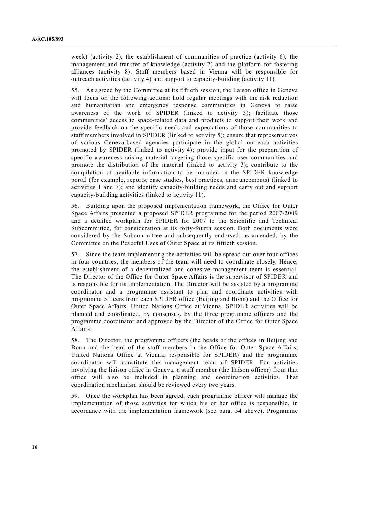week) (activity 2), the establishment of communities of practice (activity 6), the management and transfer of knowledge (activity 7) and the platform for fostering alliances (activity 8). Staff members based in Vienna will be responsible for outreach activities (activity 4) and support to capacity-building (activity 11).

55. As agreed by the Committee at its fiftieth session, the liaison office in Geneva will focus on the following actions: hold regular meetings with the risk reduction and humanitarian and emergency response communities in Geneva to raise awareness of the work of SPIDER (linked to activity 3); facilitate those communities' access to space-related data and products to support their work and provide feedback on the specific needs and expectations of those communities to staff members involved in SPIDER (linked to activity 5); ensure that representatives of various Geneva-based agencies participate in the global outreach activities promoted by SPIDER (linked to activity 4); provide input for the preparation of specific awareness-raising material targeting those specific user communities and promote the distribution of the material (linked to activity 3); contribute to the compilation of available information to be included in the SPIDER knowledge portal (for example, reports, case studies, best practices, announcements) (linked to activities 1 and 7); and identify capacity-building needs and carry out and support capacity-building activities (linked to activity 11).

56. Building upon the proposed implementation framework, the Office for Outer Space Affairs presented a proposed SPIDER programme for the period 2007-2009 and a detailed workplan for SPIDER for 2007 to the Scientific and Technical Subcommittee, for consideration at its forty-fourth session. Both documents were considered by the Subcommittee and subsequently endorsed, as amended, by the Committee on the Peaceful Uses of Outer Space at its fiftieth session.

57. Since the team implementing the activities will be spread out over four offices in four countries, the members of the team will need to coordinate closely. Hence, the establishment of a decentralized and cohesive management team is essential. The Director of the Office for Outer Space Affairs is the supervisor of SPIDER and is responsible for its implementation. The Director will be assisted by a programme coordinator and a programme assistant to plan and coordinate activities with programme officers from each SPIDER office (Beijing and Bonn) and the Office for Outer Space Affairs, United Nations Office at Vienna. SPIDER activities will be planned and coordinated, by consensus, by the three programme officers and the programme coordinator and approved by the Director of the Office for Outer Space Affairs.

58. The Director, the programme officers (the heads of the offices in Beijing and Bonn and the head of the staff members in the Office for Outer Space Affairs, United Nations Office at Vienna, responsible for SPIDER) and the programme coordinator will constitute the management team of SPIDER. For activities involving the liaison office in Geneva, a staff member (the liaison officer) from that office will also be included in planning and coordination activities. That coordination mechanism should be reviewed every two years.

59. Once the workplan has been agreed, each programme officer will manage the implementation of those activities for which his or her office is responsible, in accordance with the implementation framework (see para. 54 above). Programme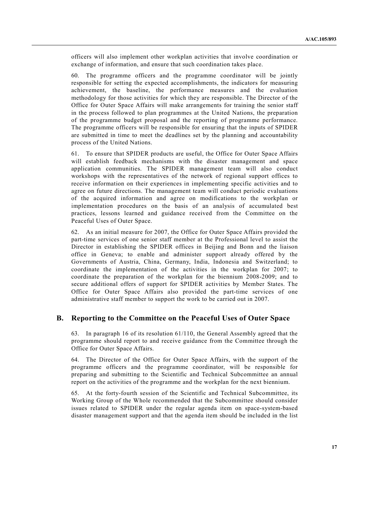officers will also implement other workplan activities that involve coordination or exchange of information, and ensure that such coordination takes place.

60. The programme officers and the programme coordinator will be jointly responsible for setting the expected accomplishments, the indicators for measuring achievement, the baseline, the performance measures and the evaluation methodology for those activities for which they are responsible. The Director of the Office for Outer Space Affairs will make arrangements for training the senior staff in the process followed to plan programmes at the United Nations, the preparation of the programme budget proposal and the reporting of programme performance. The programme officers will be responsible for ensuring that the inputs of SPIDER are submitted in time to meet the deadlines set by the planning and accountability process of the United Nations.

61. To ensure that SPIDER products are useful, the Office for Outer Space Affairs will establish feedback mechanisms with the disaster management and space application communities. The SPIDER management team will also conduct workshops with the representatives of the network of regional support offices to receive information on their experiences in implementing specific activities and to agree on future directions. The management team will conduct periodic evaluations of the acquired information and agree on modifications to the workplan or implementation procedures on the basis of an analysis of accumulated best practices, lessons learned and guidance received from the Committee on the Peaceful Uses of Outer Space.

62. As an initial measure for 2007, the Office for Outer Space Affairs provided the part-time services of one senior staff member at the Professional level to assist the Director in establishing the SPIDER offices in Beijing and Bonn and the liaison office in Geneva; to enable and administer support already offered by the Governments of Austria, China, Germany, India, Indonesia and Switzerland; to coordinate the implementation of the activities in the workplan for 2007; to coordinate the preparation of the workplan for the biennium 2008-2009; and to secure additional offers of support for SPIDER activities by Member States. The Office for Outer Space Affairs also provided the part-time services of one administrative staff member to support the work to be carried out in 2007.

#### **B. Reporting to the Committee on the Peaceful Uses of Outer Space**

63. In paragraph 16 of its resolution 61/110, the General Assembly agreed that the programme should report to and receive guidance from the Committee through the Office for Outer Space Affairs.

64. The Director of the Office for Outer Space Affairs, with the support of the programme officers and the programme coordinator, will be responsible for preparing and submitting to the Scientific and Technical Subcommittee an annual report on the activities of the programme and the workplan for the next biennium.

65. At the forty-fourth session of the Scientific and Technical Subcommittee, its Working Group of the Whole recommended that the Subcommittee should consider issues related to SPIDER under the regular agenda item on space-system-based disaster management support and that the agenda item should be included in the list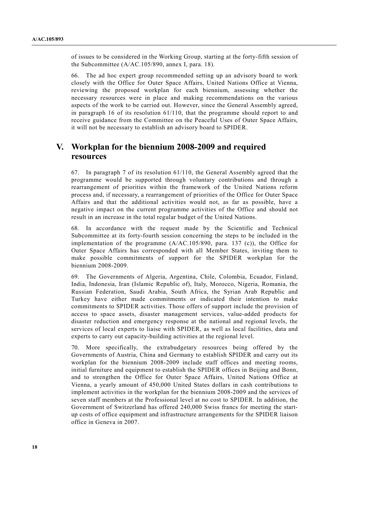of issues to be considered in the Working Group, starting at the forty-fifth session of the Subcommittee (A/AC.105/890, annex I, para. 18).

66. The ad hoc expert group recommended setting up an advisory board to work closely with the Office for Outer Space Affairs, United Nations Office at Vienna, reviewing the proposed workplan for each biennium, assessing whether the necessary resources were in place and making recommendations on the various aspects of the work to be carried out. However, since the General Assembly agreed, in paragraph 16 of its resolution 61/110, that the programme should report to and receive guidance from the Committee on the Peaceful Uses of Outer Space Affairs, it will not be necessary to establish an advisory board to SPIDER.

# **V. Workplan for the biennium 2008-2009 and required resources**

67. In paragraph 7 of its resolution 61/110, the General Assembly agreed that the programme would be supported through voluntary contributions and through a rearrangement of priorities within the framework of the United Nations reform process and, if necessary, a rearrangement of priorities of the Office for Outer Space Affairs and that the additional activities would not, as far as possible, have a negative impact on the current programme activities of the Office and should not result in an increase in the total regular budget of the United Nations.

68. In accordance with the request made by the Scientific and Technical Subcommittee at its forty-fourth session concerning the steps to be included in the implementation of the programme (A/AC.105/890, para. 137 (c)), the Office for Outer Space Affairs has corresponded with all Member States, inviting them to make possible commitments of support for the SPIDER workplan for the biennium 2008-2009.

69. The Governments of Algeria, Argentina, Chile, Colombia, Ecuador, Finland, India, Indonesia, Iran (Islamic Republic of), Italy, Morocco, Nigeria, Romania, the Russian Federation, Saudi Arabia, South Africa, the Syrian Arab Republic and Turkey have either made commitments or indicated their intention to make commitments to SPIDER activities. Those offers of support include the provision of access to space assets, disaster management services, value-added products for disaster reduction and emergency response at the national and regional levels, the services of local experts to liaise with SPIDER, as well as local facilities, data and experts to carry out capacity-building activities at the regional level.

70. More specifically, the extrabudgetary resources being offered by the Governments of Austria, China and Germany to establish SPIDER and carry out its workplan for the biennium 2008-2009 include staff offices and meeting rooms, initial furniture and equipment to establish the SPIDER offices in Beijing and Bonn, and to strengthen the Office for Outer Space Affairs, United Nations Office at Vienna, a yearly amount of 450,000 United States dollars in cash contributions to implement activities in the workplan for the biennium 2008-2009 and the services of seven staff members at the Professional level at no cost to SPIDER. In addition, the Government of Switzerland has offered 240,000 Swiss francs for meeting the startup costs of office equipment and infrastructure arrangements for the SPIDER liaison office in Geneva in 2007.